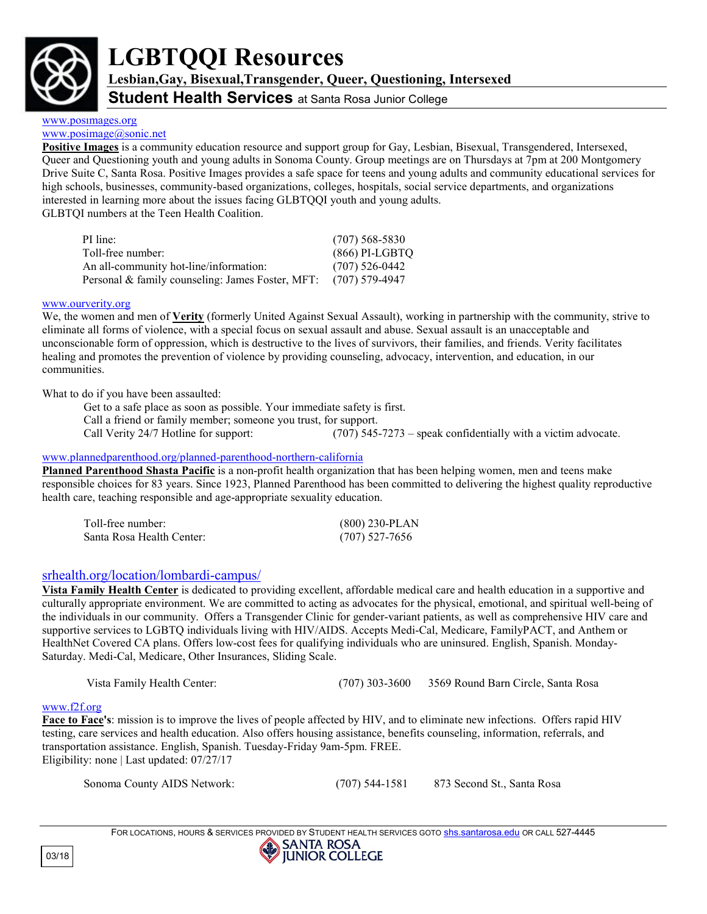

# **LGBTQQI Resources**

**Lesbian,Gay, Bisexual,Transgender, Queer, Questioning, Intersexed**

**Student Health Services** at Santa Rosa Junior College

# [www.posimages.org](http://www.posimages.org/)

## [www.posimage@sonic.net](http://www.posimage@sonic.net)

**Positive Images** is a community education resource and support group for Gay, Lesbian, Bisexual, Transgendered, Intersexed, Queer and Questioning youth and young adults in Sonoma County. Group meetings are on Thursdays at 7pm at 200 Montgomery Drive Suite C, Santa Rosa. Positive Images provides a safe space for teens and young adults and community educational services for high schools, businesses, community-based organizations, colleges, hospitals, social service departments, and organizations interested in learning more about the issues facing GLBTQQI youth and young adults. GLBTQI numbers at the Teen Health Coalition.

PI line: (707) 568-5830 Toll-free number: (866) PI-LGBTQ An all-community hot-line/information: (707) 526-0442 Personal & family counseling: James Foster, MFT: (707) 579-4947

## www.ourverity.org

We, the women and men of **Verity** (formerly United Against Sexual Assault), working in partnership with the community, strive to eliminate all forms of violence, with a special focus on sexual assault and abuse. Sexual assault is an unacceptable and unconscionable form of oppression, which is destructive to the lives of survivors, their families, and friends. Verity facilitates healing and promotes the prevention of violence by providing counseling, advocacy, intervention, and education, in our communities.

What to do if you have been assaulted:

Get to a safe place as soon as possible. Your immediate safety is first. Call a friend or family member; someone you trust, for support. Call Verity 24/7 Hotline for support: (707) 545-7273 – speak confidentially with a victim advocate.

## [www.plannedparenthood.org/planned-parenthood-northern-california](http://www.plannedparenthood.org/planned-parenthood-northern-california)

**Planned Parenthood Shasta Pacific** is a non-profit health organization that has been helping women, men and teens make responsible choices for 83 years. Since 1923, Planned Parenthood has been committed to delivering the highest quality reproductive health care, teaching responsible and age-appropriate sexuality education.

| Toll-free number:         | $(800)$ 230-PLAN |
|---------------------------|------------------|
| Santa Rosa Health Center: | $(707)$ 527-7656 |

# [srhealth.org/location/lombardi-campus/](http://srhealth.org/location/lombardi-campus/)

**Vista Family Health Center** is dedicated to providing excellent, affordable medical care and health education in a supportive and culturally appropriate environment. We are committed to acting as advocates for the physical, emotional, and spiritual well-being of the individuals in our community. Offers a Transgender Clinic for gender-variant patients, as well as comprehensive HIV care and supportive services to LGBTQ individuals living with HIV/AIDS. Accepts Medi-Cal, Medicare, FamilyPACT, and Anthem or HealthNet Covered CA plans. Offers low-cost fees for qualifying individuals who are uninsured. English, Spanish. Monday-Saturday. Medi-Cal, Medicare, Other Insurances, Sliding Scale.

```
 Vista Family Health Center: (707) 303-3600 3569 Round Barn Circle, Santa Rosa
```
## [www.f2f.org](http://www.f2f.org/)

**Face to Face's**: mission is to improve the lives of people affected by HIV, and to eliminate new infections. Offers rapid HIV testing, care services and health education. Also offers housing assistance, benefits counseling, information, referrals, and transportation assistance. English, Spanish. Tuesday-Friday 9am-5pm. FREE. Eligibility: none | Last updated: 07/27/17

Sonoma County AIDS Network: (707) 544-1581 873 Second St., Santa Rosa

03/18